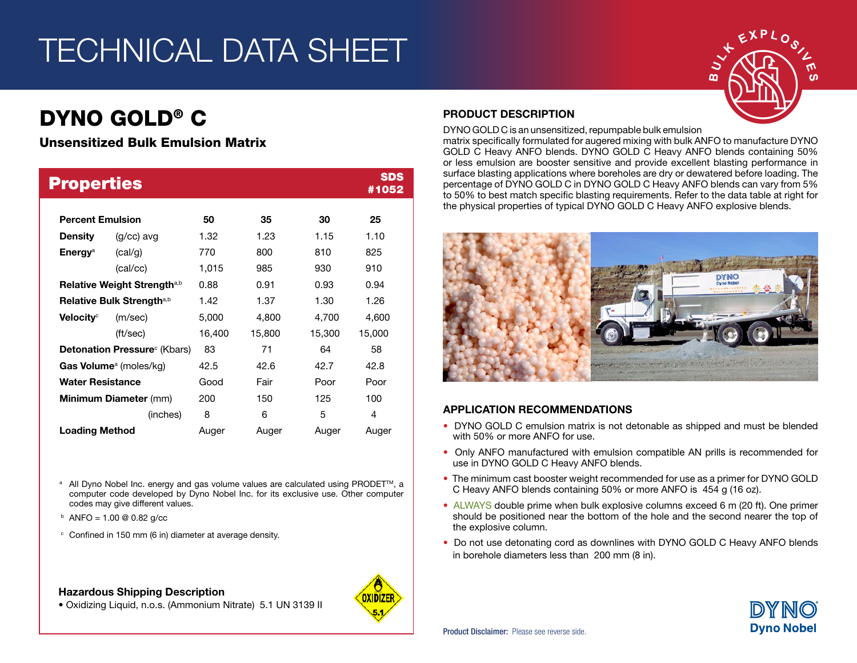# TECHNICAL DATA SHEET

# DYNO GOLD® C

### Unsensitized Bulk Emulsion Matrix

| <b>Properties</b>                       |              |        |        |        | <b>SDS</b><br>#1052 |
|-----------------------------------------|--------------|--------|--------|--------|---------------------|
| <b>Percent Emulsion</b>                 |              | 50     | 35     | 30     | 25                  |
| <b>Density</b>                          | $(q/cc)$ avg | 1.32   | 1.23   | 1.15   | 1.10                |
| Energy <sup>a</sup>                     | (cal/q)      | 770    | 800    | 810    | 825                 |
|                                         | (cal/cc)     | 1,015  | 985    | 930    | 910                 |
| Relative Weight Strength <sup>a,b</sup> |              | 0.88   | 0.91   | 0.93   | 0.94                |
| Relative Bulk Strength <sup>a,b</sup>   |              | 1.42   | 1.37   | 1.30   | 1.26                |
| Velocity <sup>c</sup>                   | (m/sec)      | 5,000  | 4,800  | 4,700  | 4,600               |
|                                         | (ft/sec)     | 16,400 | 15,800 | 15,300 | 15,000              |
| <b>Detonation Pressure</b> (Kbars)      |              | 83     | 71     | 64     | 58                  |
| Gas Volume <sup>a</sup> (moles/kg)      |              | 42.5   | 42.6   | 42.7   | 42.8                |
| <b>Water Resistance</b>                 |              | Good   | Fair   | Poor   | Poor                |
| <b>Minimum Diameter (mm)</b>            |              | 200    | 150    | 125    | 100                 |
|                                         | (inches)     | 8      | 6      | 5      | 4                   |
| <b>Loading Method</b>                   |              | Auger  | Auger  | Auger  | Auger               |

<sup>a</sup> All Dyno Nobel Inc. energy and gas volume values are calculated using PRODET<sup>™</sup>, a computer code developed by Dyno Nobel Inc. for its exclusive use. Other computer codes may give different values.

- $b$  ANFO = 1.00 @ 0.82 g/cc
- <sup>c</sup> Confined in 150 mm (6 in) diameter at average density.

#### Hazardous Shipping Description



## PRODUCT DESCRIPTION

DYNO GOLD C is an unsensitized, repumpable bulk emulsion matrix specifically formulated for augered mixing with bulk ANFO to manufacture DYNO GOLD C Heavy ANFO blends. DYNO GOLD C Heavy ANFO blends containing 50% or less emulsion are booster sensitive and provide excellent blasting performance in surface blasting applications where boreholes are dry or dewatered before loading. The percentage of DYNO GOLD C in DYNO GOLD C Heavy ANFO blends can vary from 5% to 50% to best match specific blasting requirements. Refer to the data table at right for the physical properties of typical DYNO GOLD C Heavy ANFO explosive blends.



#### APPLICATION RECOMMENDATIONS

- DYNO GOLD C emulsion matrix is not detonable as shipped and must be blended with 50% or more ANFO for use.
- Only ANFO manufactured with emulsion compatible AN prills is recommended for use in DYNO GOLD C Heavy ANFO blends.
- The minimum cast booster weight recommended for use as a primer for DYNO GOLD C Heavy ANFO blends containing 50% or more ANFO is 454 g (16 oz).
- ALWAYS double prime when bulk explosive columns exceed 6 m (20 ft). One primer should be positioned near the bottom of the hole and the second nearer the top of the explosive column.
- Do not use detonating cord as downlines with DYNO GOLD C Heavy ANFO blends in borehole diameters less than 200 mm (8 in).



• Oxidizing Liquid, n.o.s. (Ammonium Nitrate) 5.1 UN 3139 II